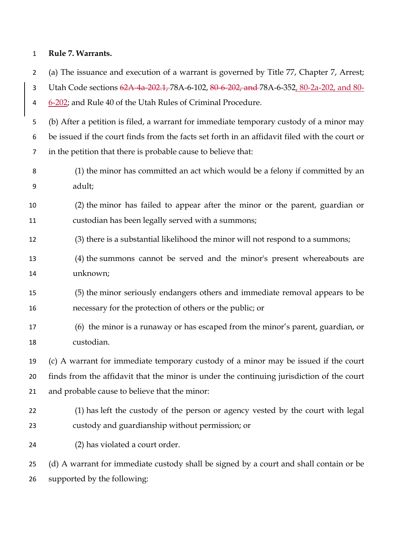## **Rule 7. Warrants.**

(a) The issuance and execution of a warrant is governed by Title 77, Chapter 7, Arrest;

Utah Code sections 62A-4a-202.1, 78A-6-102, 80-6-202, and 78A-6-352, 80-2a-202, and 80-

6-202; and Rule 40 of the Utah Rules of Criminal Procedure.

 (b) After a petition is filed, a warrant for immediate temporary custody of a minor may be issued if the court finds from the facts set forth in an affidavit filed with the court or in the petition that there is probable cause to believe that:

 (1) the minor has committed an act which would be a felony if committed by an adult;

 (2) the minor has failed to appear after the minor or the parent, guardian or custodian has been legally served with a summons;

- (3) there is a substantial likelihood the minor will not respond to a summons;
- (4) the summons cannot be served and the minor's present whereabouts are unknown;
- (5) the minor seriously endangers others and immediate removal appears to be necessary for the protection of others or the public; or
- (6) the minor is a runaway or has escaped from the minor's parent, guardian, or custodian.

 (c) A warrant for immediate temporary custody of a minor may be issued if the court finds from the affidavit that the minor is under the continuing jurisdiction of the court and probable cause to believe that the minor:

 (1) has left the custody of the person or agency vested by the court with legal custody and guardianship without permission; or

(2) has violated a court order.

 (d) A warrant for immediate custody shall be signed by a court and shall contain or be supported by the following: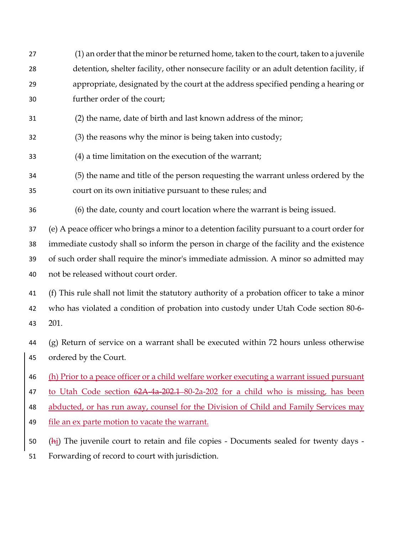- (1) an order that the minor be returned home, taken to the court, taken to a juvenile detention, shelter facility, other nonsecure facility or an adult detention facility, if appropriate, designated by the court at the address specified pending a hearing or further order of the court;
- (2) the name, date of birth and last known address of the minor;
- (3) the reasons why the minor is being taken into custody;
- (4) a time limitation on the execution of the warrant;
- (5) the name and title of the person requesting the warrant unless ordered by the
- court on its own initiative pursuant to these rules; and
- (6) the date, county and court location where the warrant is being issued.

 (e) A peace officer who brings a minor to a detention facility pursuant to a court order for immediate custody shall so inform the person in charge of the facility and the existence of such order shall require the minor's immediate admission. A minor so admitted may not be released without court order.

 (f) This rule shall not limit the statutory authority of a probation officer to take a minor who has violated a condition of probation into custody under Utah Code section 80-6- 201.

 (g) Return of service on a warrant shall be executed within 72 hours unless otherwise ordered by the Court.

(h) Prior to a peace officer or a child welfare worker executing a warrant issued pursuant

to Utah Code section 62A-4a-202.1 80-2a-202 for a child who is missing, has been

- abducted, or has run away, counsel for the Division of Child and Family Services may
- 49 file an ex parte motion to vacate the warrant.
- (hi) The juvenile court to retain and file copies Documents sealed for twenty days -
- Forwarding of record to court with jurisdiction.